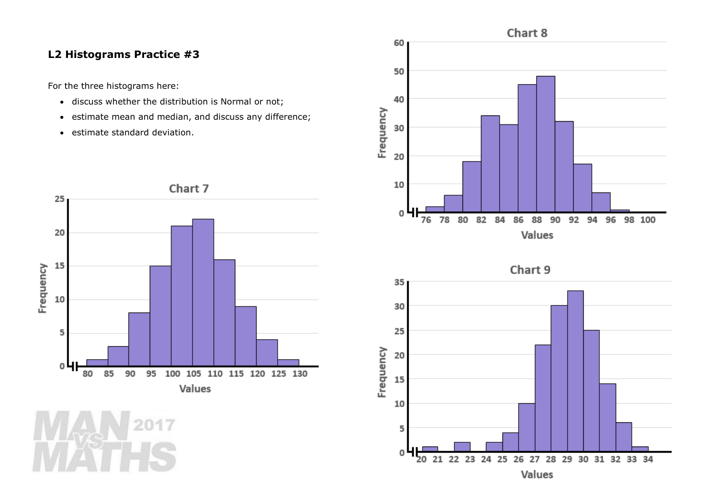## **L2 Histograms Practice #3**

For the three histograms here:

- discuss whether the distribution is Normal or not;
- estimate mean and median, and discuss any difference;
- estimate standard deviation.





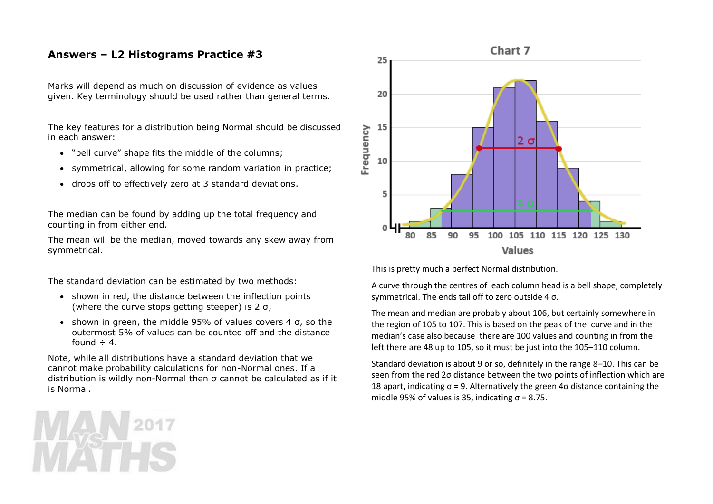## **Answers – L2 Histograms Practice #3**

Marks will depend as much on discussion of evidence as values given. Key terminology should be used rather than general terms.

The key features for a distribution being Normal should be discussed in each answer:

- "bell curve" shape fits the middle of the columns;
- symmetrical, allowing for some random variation in practice;
- drops off to effectively zero at 3 standard deviations.

The median can be found by adding up the total frequency and counting in from either end.

The mean will be the median, moved towards any skew away from symmetrical.

The standard deviation can be estimated by two methods:

- shown in red, the distance between the inflection points (where the curve stops getting steeper) is 2 σ;
- shown in green, the middle 95% of values covers 4  $\sigma$ , so the outermost 5% of values can be counted off and the distance found  $\div$  4.

Note, while all distributions have a standard deviation that we cannot make probability calculations for non-Normal ones. If a distribution is wildly non-Normal then σ cannot be calculated as if it is Normal.



This is pretty much a perfect Normal distribution.

A curve through the centres of each column head is a bell shape, completely symmetrical. The ends tail off to zero outside 4 σ.

The mean and median are probably about 106, but certainly somewhere in the region of 105 to 107. This is based on the peak of the curve and in the median's case also because there are 100 values and counting in from the left there are 48 up to 105, so it must be just into the 105–110 column.

Standard deviation is about 9 or so, definitely in the range 8–10. This can be seen from the red 2σ distance between the two points of inflection which are 18 apart, indicating  $σ = 9$ . Alternatively the green  $4σ$  distance containing the middle 95% of values is 35, indicating  $\sigma$  = 8.75.